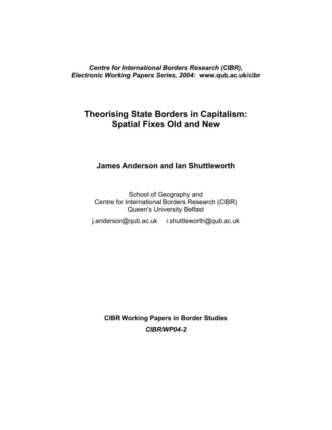### *Centre for International Borders Research (CIBR), Electronic Working Papers Series, 2004:* **www.qub.ac.uk/cibr**

# **Theorising State Borders in Capitalism: Spatial Fixes Old and New**

## **James Anderson and Ian Shuttleworth**

School of Geography and Centre for International Borders Research (CIBR) Queen's University Belfast

j.anderson@qub.ac.uk i.shuttleworth@qub.ac.uk

**CIBR Working Papers in Border Studies** *CIBR/WP04-2*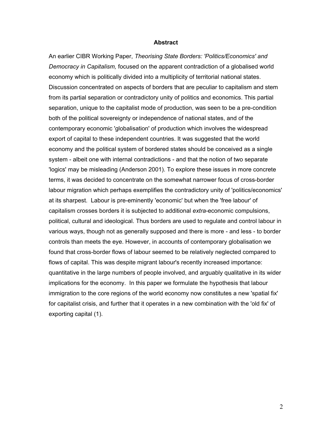#### **Abstract**

An earlier CIBR Working Paper, *Theorising State Borders: 'Politics/Economics' and Democracy in Capitalism,* focused on the apparent contradiction of a globalised world economy which is politically divided into a multiplicity of territorial national states. Discussion concentrated on aspects of borders that are peculiar to capitalism and stem from its partial separation or contradictory unity of politics and economics. This partial separation, unique to the capitalist mode of production, was seen to be a pre-condition both of the political sovereignty or independence of national states, and of the contemporary economic 'globalisation' of production which involves the widespread export of capital to these independent countries. It was suggested that the world economy and the political system of bordered states should be conceived as a single system - albeit one with internal contradictions - and that the notion of two separate 'logics' may be misleading (Anderson 2001). To explore these issues in more concrete terms, it was decided to concentrate on the somewhat narrower focus of cross-border labour migration which perhaps exemplifies the contradictory unity of 'politics/economics' at its sharpest. Labour is pre-eminently 'economic' but when the 'free labour' of capitalism crosses borders it is subjected to additional *extra*-economic compulsions, political, cultural and ideological. Thus borders are used to regulate and control labour in various ways, though not as generally supposed and there is more - and less - to border controls than meets the eye. However, in accounts of contemporary globalisation we found that cross-border flows of labour seemed to be relatively neglected compared to flows of capital. This was despite migrant labour's recently increased importance: quantitative in the large numbers of people involved, and arguably qualitative in its wider implications for the economy. In this paper we formulate the hypothesis that labour immigration to the core regions of the world economy now constitutes a new 'spatial fix' for capitalist crisis, and further that it operates in a new combination with the 'old fix' of exporting capital (1).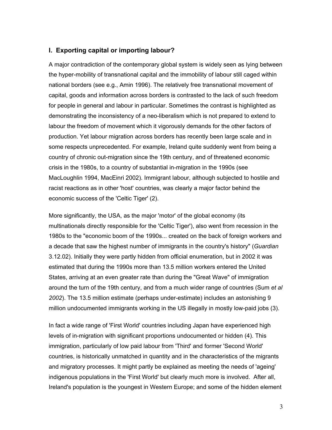### **I. Exporting capital or importing labour?**

A major contradiction of the contemporary global system is widely seen as lying between the hyper-mobility of transnational capital and the immobility of labour still caged within national borders (see e.g., Amin 1996). The relatively free transnational movement of capital, goods and information across borders is contrasted to the lack of such freedom for people in general and labour in particular. Sometimes the contrast is highlighted as demonstrating the inconsistency of a neo-liberalism which is not prepared to extend to labour the freedom of movement which it vigorously demands for the other factors of production. Yet labour migration across borders has recently been large scale and in some respects unprecedented. For example, Ireland quite suddenly went from being a country of chronic out-migration since the 19th century, and of threatened economic crisis in the 1980s, to a country of substantial in-migration in the 1990s (see MacLoughlin 1994, MacEinri 2002). Immigrant labour, although subjected to hostile and racist reactions as in other 'host' countries, was clearly a major factor behind the economic success of the 'Celtic Tiger' (2).

More significantly, the USA, as the major 'motor' of the global economy (its multinationals directly responsible for the 'Celtic Tiger'), also went from recession in the 1980s to the "economic boom of the 1990s... created on the back of foreign workers and a decade that saw the highest number of immigrants in the country's history" (*Guardian* 3.12.02). Initially they were partly hidden from official enumeration, but in 2002 it was estimated that during the 1990s more than 13.5 million workers entered the United States, arriving at an even greater rate than during the "Great Wave" of immigration around the turn of the 19th century, and from a much wider range of countries (Sum *et al 2002*). The 13.5 million estimate (perhaps under-estimate) includes an astonishing 9 million undocumented immigrants working in the US illegally in mostly low-paid jobs (3).

In fact a wide range of 'First World' countries including Japan have experienced high levels of in-migration with significant proportions undocumented or hidden (4). This immigration, particularly of low paid labour from 'Third' and former 'Second World' countries, is historically unmatched in quantity and in the characteristics of the migrants and migratory processes. It might partly be explained as meeting the needs of 'ageing' indigenous populations in the 'First World' but clearly much more is involved. After all, Ireland's population is the youngest in Western Europe; and some of the hidden element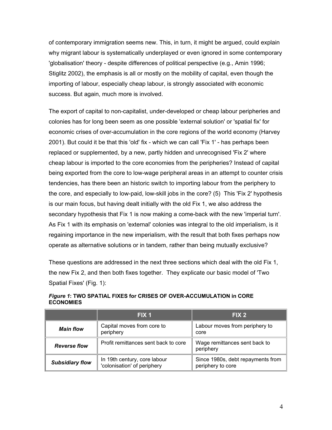of contemporary immigration seems new. This, in turn, it might be argued, could explain why migrant labour is systematically underplayed or even ignored in some contemporary 'globalisation' theory - despite differences of political perspective (e.g., Amin 1996; Stiglitz 2002), the emphasis is all or mostly on the mobility of capital, even though the importing of labour, especially cheap labour, is strongly associated with economic success. But again, much more is involved.

The export of capital to non-capitalist, under-developed or cheap labour peripheries and colonies has for long been seem as one possible 'external solution' or 'spatial fix' for economic crises of over-accumulation in the core regions of the world economy (Harvey 2001). But could it be that this 'old' fix - which we can call 'Fix 1' - has perhaps been replaced or supplemented, by a new, partly hidden and unrecognised 'Fix 2' where cheap labour is imported to the core economies from the peripheries? Instead of capital being exported from the core to low-wage peripheral areas in an attempt to counter crisis tendencies, has there been an historic switch to importing labour from the periphery to the core, and especially to low-paid, low-skill jobs in the core? (5) This 'Fix 2' hypothesis is our main focus, but having dealt initially with the old Fix 1, we also address the secondary hypothesis that Fix 1 is now making a come-back with the new 'imperial turn'. As Fix 1 with its emphasis on 'external' colonies was integral to the old imperialism, is it regaining importance in the new imperialism, with the result that both fixes perhaps now operate as alternative solutions or in tandem, rather than being mutually exclusive?

These questions are addressed in the next three sections which deal with the old Fix 1, the new Fix 2, and then both fixes together. They explicate our basic model of 'Two Spatial Fixes' (Fig. 1):

|                        | FIX 1                                                       | FIX <sub>2</sub>                                       |
|------------------------|-------------------------------------------------------------|--------------------------------------------------------|
| <b>Main flow</b>       | Capital moves from core to<br>periphery                     | Labour moves from periphery to<br>core                 |
| <b>Reverse flow</b>    | Profit remittances sent back to core                        | Wage remittances sent back to<br>periphery             |
| <b>Subsidiary flow</b> | In 19th century, core labour<br>'colonisation' of periphery | Since 1980s, debt repayments from<br>periphery to core |

#### *Figure 1***: TWO SPATIAL FIXES for CRISES OF OVER-ACCUMULATION in CORE ECONOMIES**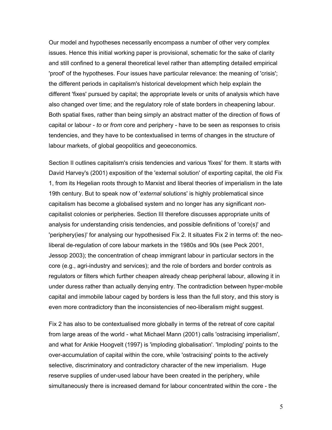Our model and hypotheses necessarily encompass a number of other very complex issues. Hence this initial working paper is provisional, schematic for the sake of clarity and still confined to a general theoretical level rather than attempting detailed empirical 'proof' of the hypotheses. Four issues have particular relevance: the meaning of 'crisis'; the different periods in capitalism's historical development which help explain the different 'fixes' pursued by capital; the appropriate levels or units of analysis which have also changed over time; and the regulatory role of state borders in cheapening labour. Both spatial fixes, rather than being simply an abstract matter of the direction of flows of capital or labour - *to* or *from* core and periphery - have to be seen as responses to crisis tendencies, and they have to be contextualised in terms of changes in the structure of labour markets, of global geopolitics and geoeconomics.

Section II outlines capitalism's crisis tendencies and various 'fixes' for them. It starts with David Harvey's (2001) exposition of the 'external solution' of exporting capital, the old Fix 1, from its Hegelian roots through to Marxist and liberal theories of imperialism in the late 19th century. But to speak now of '*external* solutions' is highly problematical since capitalism has become a globalised system and no longer has any significant *non*capitalist colonies or peripheries. Section III therefore discusses appropriate units of analysis for understanding crisis tendencies, and possible definitions of 'core(s)' and 'periphery(ies)' for analysing our hypothesised Fix 2. It situates Fix 2 in terms of: the neoliberal de-regulation of core labour markets in the 1980s and 90s (see Peck 2001, Jessop 2003); the concentration of cheap immigrant labour in particular sectors in the core (e.g., agri-industry and services); and the role of borders and border controls as regulators or filters which further cheapen already cheap peripheral labour, allowing it in under duress rather than actually denying entry. The contradiction between hyper-mobile capital and immobile labour caged by borders is less than the full story, and this story is even more contradictory than the inconsistencies of neo-liberalism might suggest.

Fix 2 has also to be contextualised more globally in terms of the retreat of core capital from large areas of the world - what Michael Mann (2001) calls 'ostracising imperialism', and what for Ankie Hoogvelt (1997) is 'imploding globalisation'. 'Imploding' points to the over-accumulation of capital within the core, while 'ostracising' points to the actively selective, discriminatory and contradictory character of the new imperialism. Huge reserve supplies of under-used labour have been created in the periphery, while simultaneously there is increased demand for labour concentrated within the core - the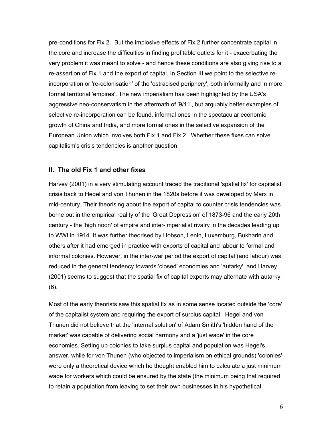pre-conditions for Fix 2. But the implosive effects of Fix 2 further concentrate capital in the core and increase the difficulties in finding profitable outlets for it - exacerbating the very problem it was meant to solve - and hence these conditions are also giving rise to a re-assertion of Fix 1 and the export of capital. In Section III we point to the selective reincorporation or 're-colonisation' of the 'ostracised periphery', both informally and in more formal territorial 'empires'. The new imperialism has been highlighted by the USA's aggressive neo-conservatism in the aftermath of '9/11', but arguably better examples of selective re-incorporation can be found, informal ones in the spectacular economic growth of China and India, and more formal ones in the selective expansion of the European Union which involves both Fix 1 and Fix 2. Whether these fixes can solve capitalism's crisis tendencies is another question.

### **II. The old Fix 1 and other fixes**

Harvey (2001) in a very stimulating account traced the traditional 'spatial fix' for capitalist crisis back to Hegel and von Thunen in the 1820s before it was developed by Marx in mid-century. Their theorising about the export of capital to counter crisis tendencies was borne out in the empirical reality of the 'Great Depression' of 1873-96 and the early 20th century - the 'high noon' of empire and inter-imperialist rivalry in the decades leading up to WWI in 1914. It was further theorised by Hobson, Lenin, Luxemburg, Bukharin and others after it had emerged in practice with exports of capital and labour to formal and informal colonies. However, in the inter-war period the export of capital (and labour) was reduced in the general tendency towards 'closed' economies and 'autarky', and Harvey (2001) seems to suggest that the spatial fix of capital exports may alternate with autarky (6).

Most of the early theorists saw this spatial fix as in some sense located outside the 'core' of the capitalist system and requiring the export of surplus capital.Hegel and von Thunen did not believe that the 'internal solution' of Adam Smith's 'hidden hand of the market' was capable of delivering social harmony and a 'just wage' in the core economies. Setting up colonies to take surplus capital and population was Hegel's answer, while for von Thunen (who objected to imperialism on ethical grounds) 'colonies' were only a theoretical device which he thought enabled him to calculate a just minimum wage for workers which could be ensured by the state (the minimum being that required to retain a population from leaving to set their own businesses in his hypothetical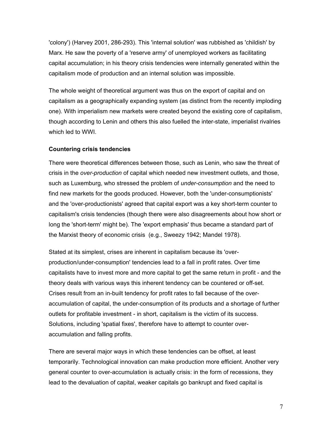'colony') (Harvey 2001, 286-293). This 'internal solution' was rubbished as 'childish' by Marx. He saw the poverty of a 'reserve army' of unemployed workers as facilitating capital accumulation; in his theory crisis tendencies were internally generated within the capitalism mode of production and an internal solution was impossible.

The whole weight of theoretical argument was thus on the export of capital and on capitalism as a geographically expanding system (as distinct from the recently imploding one). With imperialism new markets were created beyond the existing core of capitalism, though according to Lenin and others this also fuelled the inter-state, imperialist rivalries which led to WWI.

### **Countering crisis tendencies**

There were theoretical differences between those, such as Lenin, who saw the threat of crisis in the *over-production* of capital which needed new investment outlets, and those, such as Luxemburg, who stressed the problem of *under-consumption* and the need to find new markets for the goods produced. However, both the 'under-consumptionists' and the 'over-productionists' agreed that capital export was a key short-term counter to capitalism's crisis tendencies (though there were also disagreements about how short or long the 'short-term' might be). The 'export emphasis' thus became a standard part of the Marxist theory of economic crisis (e.g., Sweezy 1942; Mandel 1978).

Stated at its simplest, crises are inherent in capitalism because its 'overproduction/under-consumption' tendencies lead to a fall in profit rates. Over time capitalists have to invest more and more capital to get the same return in profit - and the theory deals with various ways this inherent tendency can be countered or off-set. Crises result from an in-built tendency for profit rates to fall because of the overaccumulation of capital, the under-consumption of its products and a shortage of further outlets for profitable investment - in short, capitalism is the victim of its success. Solutions, including 'spatial fixes', therefore have to attempt to counter overaccumulation and falling profits.

There are several major ways in which these tendencies can be offset, at least temporarily. Technological innovation can make production more efficient. Another very general counter to over-accumulation is actually crisis: in the form of recessions, they lead to the devaluation of capital, weaker capitals go bankrupt and fixed capital is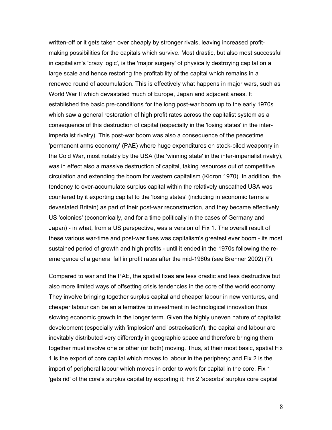written-off or it gets taken over cheaply by stronger rivals, leaving increased profitmaking possibilities for the capitals which survive. Most drastic, but also most successful in capitalism's 'crazy logic', is the 'major surgery' of physically destroying capital on a large scale and hence restoring the profitability of the capital which remains in a renewed round of accumulation. This is effectively what happens in major wars, such as World War II which devastated much of Europe, Japan and adjacent areas. It established the basic pre-conditions for the long post-war boom up to the early 1970s which saw a general restoration of high profit rates across the capitalist system as a consequence of this destruction of capital (especially in the 'losing states' in the interimperialist rivalry). This post-war boom was also a consequence of the peacetime 'permanent arms economy' (PAE) where huge expenditures on stock-piled weaponry in the Cold War, most notably by the USA (the 'winning state' in the inter-imperialist rivalry), was in effect also a massive destruction of capital, taking resources out of competitive circulation and extending the boom for western capitalism (Kidron 1970). In addition, the tendency to over-accumulate surplus capital within the relatively unscathed USA was countered by it exporting capital to the 'losing states' (including in economic terms a devastated Britain) as part of their post-war reconstruction, and they became effectively US 'colonies' (economically, and for a time politically in the cases of Germany and Japan) - in what, from a US perspective, was a version of Fix 1. The overall result of these various war-time and post-war fixes was capitalism's greatest ever boom - its most sustained period of growth and high profits - until it ended in the 1970s following the reemergence of a general fall in profit rates after the mid-1960s (see Brenner 2002) (7).

Compared to war and the PAE, the spatial fixes are less drastic and less destructive but also more limited ways of offsetting crisis tendencies in the core of the world economy. They involve bringing together surplus capital and cheaper labour in new ventures, and cheaper labour can be an alternative to investment in technological innovation thus slowing economic growth in the longer term. Given the highly uneven nature of capitalist development (especially with 'implosion' and 'ostracisation'), the capital and labour are inevitably distributed very differently in geographic space and therefore bringing them together must involve one or other (or both) moving. Thus, at their most basic, spatial Fix 1 is the export of core capital which moves to labour in the periphery; and Fix 2 is the import of peripheral labour which moves in order to work for capital in the core. Fix 1 'gets rid' of the core's surplus capital by exporting it; Fix 2 'absorbs' surplus core capital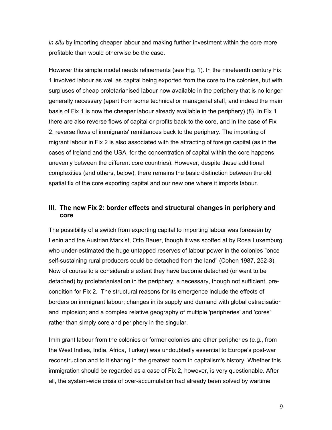*in situ* by importing cheaper labour and making further investment within the core more profitable than would otherwise be the case.

However this simple model needs refinements (see Fig. 1). In the nineteenth century Fix 1 involved labour as well as capital being exported from the core to the colonies, but with surpluses of cheap proletarianised labour now available in the periphery that is no longer generally necessary (apart from some technical or managerial staff, and indeed the main basis of Fix 1 is now the cheaper labour already available in the periphery) (8). In Fix 1 there are also reverse flows of capital or profits back to the core, and in the case of Fix 2, reverse flows of immigrants' remittances back to the periphery. The importing of migrant labour in Fix 2 is also associated with the attracting of foreign capital (as in the cases of Ireland and the USA, for the concentration of capital within the core happens unevenly between the different core countries). However, despite these additional complexities (and others, below), there remains the basic distinction between the old spatial fix of the core exporting capital and our new one where it imports labour.

### **III. The new Fix 2: border effects and structural changes in periphery and core**

The possibility of a switch from exporting capital to importing labour was foreseen by Lenin and the Austrian Marxist, Otto Bauer, though it was scoffed at by Rosa Luxemburg who under-estimated the huge untapped reserves of labour power in the colonies "once self-sustaining rural producers could be detached from the land" (Cohen 1987, 252-3). Now of course to a considerable extent they have become detached (or want to be detached) by proletarianisation in the periphery, a necessary, though not sufficient, precondition for Fix 2. The structural reasons for its emergence include the effects of borders on immigrant labour; changes in its supply and demand with global ostracisation and implosion; and a complex relative geography of multiple 'peripheries' and 'cores' rather than simply core and periphery in the singular.

Immigrant labour from the colonies or former colonies and other peripheries (e.g., from the West Indies, India, Africa, Turkey) was undoubtedly essential to Europe's post-war reconstruction and to it sharing in the greatest boom in capitalism's history. Whether this immigration should be regarded as a case of Fix 2, however, is very questionable. After all, the system-wide crisis of over-accumulation had already been solved by wartime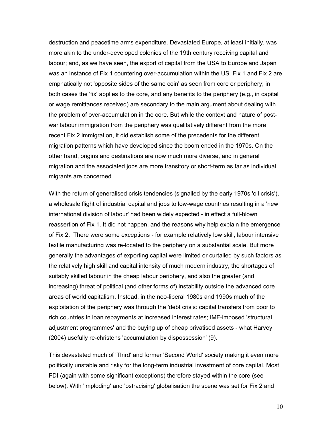destruction and peacetime arms expenditure. Devastated Europe, at least initially, was more akin to the under-developed colonies of the 19th century receiving capital and labour; and, as we have seen, the export of capital from the USA to Europe and Japan was an instance of Fix 1 countering over-accumulation within the US. Fix 1 and Fix 2 are emphatically not 'opposite sides of the same coin' as seen from core or periphery; in both cases the 'fix' applies to the core, and any benefits to the periphery (e.g., in capital or wage remittances received) are secondary to the main argument about dealing with the problem of over-accumulation in the core. But while the context and nature of postwar labour immigration from the periphery was qualitatively different from the more recent Fix 2 immigration, it did establish some of the precedents for the different migration patterns which have developed since the boom ended in the 1970s. On the other hand, origins and destinations are now much more diverse, and in general migration and the associated jobs are more transitory or short-term as far as individual migrants are concerned.

With the return of generalised crisis tendencies (signalled by the early 1970s 'oil crisis'), a wholesale flight of industrial capital and jobs to low-wage countries resulting in a 'new international division of labour' had been widely expected - in effect a full-blown reassertion of Fix 1. It did not happen, and the reasons why help explain the emergence of Fix 2. There were some exceptions - for example relatively low skill, labour intensive textile manufacturing was re-located to the periphery on a substantial scale. But more generally the advantages of exporting capital were limited or curtailed by such factors as the relatively high skill and capital intensity of much modern industry, the shortages of suitably skilled labour in the cheap labour periphery, and also the greater (and increasing) threat of political (and other forms of) instability outside the advanced core areas of world capitalism. Instead, in the neo-liberal 1980s and 1990s much of the exploitation of the periphery was through the 'debt crisis: capital transfers from poor to rich countries in loan repayments at increased interest rates; IMF-imposed 'structural adjustment programmes' and the buying up of cheap privatised assets - what Harvey (2004) usefully re-christens 'accumulation by dispossession' (9).

This devastated much of 'Third' and former 'Second World' society making it even more politically unstable and risky for the long-term industrial investment of core capital. Most FDI (again with some significant exceptions) therefore stayed within the core (see below). With 'imploding' and 'ostracising' globalisation the scene was set for Fix 2 and

10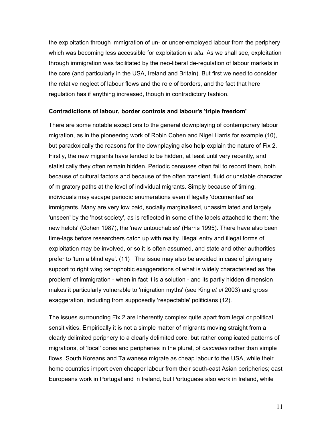the exploitation through immigration of un- or under-employed labour from the periphery which was becoming less accessible for exploitation *in situ*. As we shall see, exploitation through immigration was facilitated by the neo-liberal de-regulation of labour markets in the core (and particularly in the USA, Ireland and Britain). But first we need to consider the relative neglect of labour flows and the role of borders, and the fact that here regulation has if anything increased, though in contradictory fashion.

#### **Contradictions of labour, border controls and labour's 'triple freedom'**

There are some notable exceptions to the general downplaying of contemporary labour migration, as in the pioneering work of Robin Cohen and Nigel Harris for example (10), but paradoxically the reasons for the downplaying also help explain the nature of Fix 2. Firstly, the new migrants have tended to be hidden, at least until very recently, and statistically they often remain hidden. Periodic censuses often fail to record them, both because of cultural factors and because of the often transient, fluid or unstable character of migratory paths at the level of individual migrants. Simply because of timing, individuals may escape periodic enumerations even if legally 'documented' as immigrants. Many are very low paid, socially marginalised, unassimilated and largely 'unseen' by the 'host society', as is reflected in some of the labels attached to them: 'the new helots' (Cohen 1987), the 'new untouchables' (Harris 1995). There have also been time-lags before researchers catch up with reality. Illegal entry and illegal forms of exploitation may be involved, or so it is often assumed, and state and other authorities prefer to 'turn a blind eye'. (11) The issue may also be avoided in case of giving any support to right wing xenophobic exaggerations of what is widely characterised as 'the problem' of immigration - when in fact it is a solution - and its partly hidden dimension makes it particularly vulnerable to 'migration myths' (see King *et al* 2003) and gross exaggeration, including from supposedly 'respectable' politicians (12).

The issues surrounding Fix 2 are inherently complex quite apart from legal or political sensitivities. Empirically it is not a simple matter of migrants moving straight from a clearly delimited periphery to a clearly delimited core, but rather complicated patterns of migrations, of 'local' cores and peripheries in the plural, of *cascades* rather than simple flows. South Koreans and Taiwanese migrate as cheap labour to the USA, while their home countries import even cheaper labour from their south-east Asian peripheries; east Europeans work in Portugal and in Ireland, but Portuguese also work in Ireland, while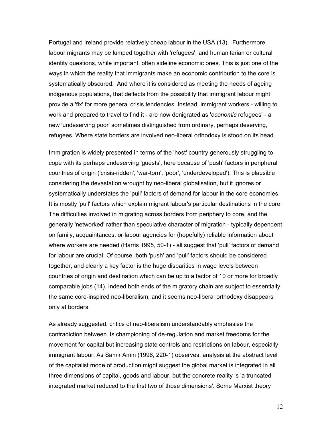Portugal and Ireland provide relatively cheap labour in the USA (13). Furthermore, labour migrants may be lumped together with 'refugees', and humanitarian or cultural identity questions, while important, often sideline economic ones. This is just one of the ways in which the reality that immigrants make an economic contribution to the core is systematically obscured. And where it is considered as meeting the needs of ageing indigenous populations, that deflects from the possibility that immigrant labour might provide a 'fix' for more general crisis tendencies. Instead, immigrant workers - willing to work and prepared to travel to find it - are now denigrated as '*economic* refugees' - a new 'undeserving poor' sometimes distinguished from ordinary, perhaps deserving, refugees. Where state borders are involved neo-liberal orthodoxy is stood on its head.

Immigration is widely presented in terms of the 'host' country generously struggling to cope with its perhaps undeserving 'guests', here because of 'push' factors in peripheral countries of origin ('crisis-ridden', 'war-torn', 'poor', 'underdeveloped'). This is plausible considering the devastation wrought by neo-liberal globalisation, but it ignores or systematically understates the 'pull' factors of demand for labour in the core economies. It is mostly 'pull' factors which explain migrant labour's particular destinations in the core. The difficulties involved in migrating across borders from periphery to core, and the generally 'networked' rather than speculative character of migration - typically dependent on family, acquaintances, or labour agencies for (hopefully) reliable information about where workers are needed (Harris 1995, 50-1) - all suggest that 'pull' factors of demand for labour are crucial. Of course, both 'push' and 'pull' factors should be considered together, and clearly a key factor is the huge disparities in wage levels between countries of origin and destination which can be up to a factor of 10 or more for broadly comparable jobs (14). Indeed both ends of the migratory chain are subject to essentially the same core-inspired neo-liberalism, and it seems neo-liberal orthodoxy disappears only at borders.

As already suggested, critics of neo-liberalism understandably emphasise the contradiction between its championing of de-regulation and market freedoms for the movement for capital but increasing state controls and restrictions on labour, especially immigrant labour. As Samir Amin (1996, 220-1) observes, analysis at the abstract level of the capitalist mode of production might suggest the global market is integrated in all three dimensions of capital, goods and labour, but the concrete reality is 'a truncated integrated market reduced to the first two of those dimensions'. Some Marxist theory

12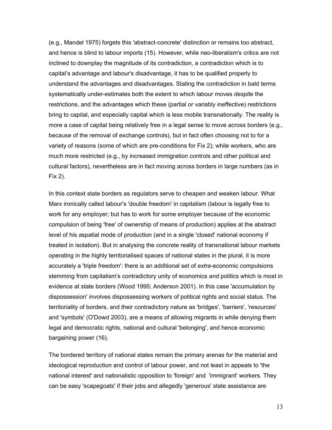(e.g., Mandel 1975) forgets this 'abstract-concrete' distinction or remains too abstract, and hence is blind to labour imports (15). However, while neo-liberalism's critics are not inclined to downplay the magnitude of its contradiction, a contradiction which is to capital's advantage and labour's disadvantage, it has to be qualified properly to understand the advantages and disadvantages. Stating the contradiction in bald terms systematically under-estimates both the extent to which labour moves *despite* the restrictions, and the advantages which these (partial or variably ineffective) restrictions bring to capital, and especially capital which is less mobile transnationally. The reality is more a case of capital being relatively free in a legal sense to move across borders (e.g., because of the removal of exchange controls), but in fact often choosing not to for a variety of reasons (some of which are pre-conditions for Fix 2); while workers, who are much more restricted (e.g., by increased immigration controls and other political and cultural factors), nevertheless are in fact moving across borders in large numbers (as in Fix 2).

In this context state borders as regulators serve to cheapen and weaken labour. What Marx ironically called labour's 'double freedom' in capitalism (labour is legally free to work for any employer; but has to work for some employer because of the economic compulsion of being 'free' of ownership of means of production) applies at the abstract level of his *a*spatial mode of production (and in a single 'closed' national economy if treated in isolation). But in analysing the concrete reality of transnational labour markets operating in the highly territorialised spaces of national states in the plural, it is more accurately a 'triple freedom': there is an additional set of *extra*-economic compulsions stemming from capitalism's contradictory unity of economics *and* politics which is most in evidence at state borders (Wood 1995; Anderson 2001). In this case 'accumulation by dispossession' involves dispossessing workers of political rights and social status. The territoriality of borders, and their contradictory nature as 'bridges', 'barriers', 'resources' and 'symbols' (O'Dowd 2003), are a means of allowing migrants in while denying them legal and democratic rights, national and cultural 'belonging', and hence economic bargaining power (16).

The bordered territory of national states remain the primary arenas for the material and ideological reproduction and control of labour power, and not least in appeals to 'the national interest' and nationalistic opposition to 'foreign' and 'immigrant' workers. They can be easy 'scapegoats' if their jobs and allegedly 'generous' state assistance are

13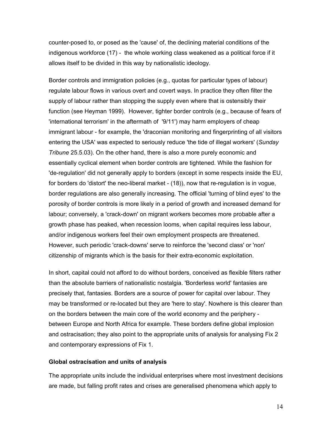counter-posed to, or posed as the 'cause' of, the declining material conditions of the indigenous workforce (17) - the whole working class weakened as a political force if it allows itself to be divided in this way by nationalistic ideology.

Border controls and immigration policies (e.g., quotas for particular types of labour) regulate labour flows in various overt and covert ways. In practice they often filter the supply of labour rather than stopping the supply even where that is ostensibly their function (see Heyman 1999). However, tighter border controls (e.g., because of fears of 'international terrorism' in the aftermath of '9/11') may harm employers of cheap immigrant labour - for example, the 'draconian monitoring and fingerprinting of all visitors entering the USA' was expected to seriously reduce 'the tide of illegal workers' (*Sunday Tribune* 25.5.03). On the other hand, there is also a more purely economic and essentially cyclical element when border controls are tightened. While the fashion for 'de-regulation' did not generally apply to borders (except in some respects inside the EU, for borders do 'distort' the neo-liberal market - (18)), now that re-regulation is in vogue, border regulations are also generally increasing. The official 'turning of blind eyes' to the porosity of border controls is more likely in a period of growth and increased demand for labour; conversely, a 'crack-down' on migrant workers becomes more probable after a growth phase has peaked, when recession looms, when capital requires less labour, and/or indigenous workers feel their own employment prospects are threatened. However, such periodic 'crack-downs' serve to reinforce the 'second class' or 'non' citizenship of migrants which is the basis for their extra-economic exploitation.

In short, capital could not afford to do without borders, conceived as flexible filters rather than the absolute barriers of nationalistic nostalgia. 'Borderless world' fantasies are precisely that, fantasies. Borders are a source of power for capital over labour. They may be transformed or re-located but they are 'here to stay'. Nowhere is this clearer than on the borders between the main core of the world economy and the periphery between Europe and North Africa for example. These borders define global implosion and ostracisation; they also point to the appropriate units of analysis for analysing Fix 2 and contemporary expressions of Fix 1.

#### **Global ostracisation and units of analysis**

The appropriate units include the individual enterprises where most investment decisions are made, but falling profit rates and crises are generalised phenomena which apply to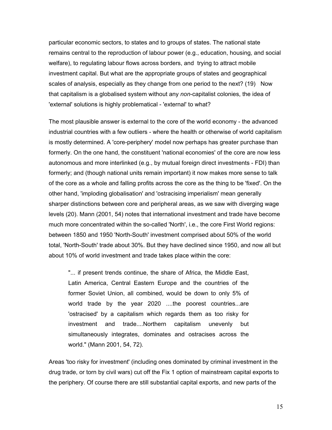particular economic sectors, to states and to groups of states. The national state remains central to the reproduction of labour power (e.g., education, housing, and social welfare), to regulating labour flows across borders, and trying to attract mobile investment capital. But what are the appropriate groups of states and geographical scales of analysis, especially as they change from one period to the next? (19) Now that capitalism is a globalised system without any *non*-capitalist colonies, the idea of 'external' solutions is highly problematical - 'external' to what?

The most plausible answer is external to the core of the world economy - the advanced industrial countries with a few outliers - where the health or otherwise of world capitalism is mostly determined. A 'core-periphery' model now perhaps has greater purchase than formerly. On the one hand, the constituent 'national economies' of the core are now less autonomous and more interlinked (e.g., by mutual foreign direct investments - FDI) than formerly; and (though national units remain important) it now makes more sense to talk of the core as a whole and falling profits across the core as the thing to be 'fixed'. On the other hand, 'imploding globalisation' and 'ostracising imperialism' mean generally sharper distinctions between core and peripheral areas, as we saw with diverging wage levels (20). Mann (2001, 54) notes that international investment and trade have become much more concentrated within the so-called 'North', i.e., the core First World regions: between 1850 and 1950 'North-South' investment comprised about 50% of the world total, 'North-South' trade about 30%. But they have declined since 1950, and now all but about 10% of world investment and trade takes place within the core:

"... if present trends continue, the share of Africa, the Middle East, Latin America, Central Eastern Europe and the countries of the former Soviet Union, all combined, would be down to only 5% of world trade by the year 2020 ....the poorest countries...are 'ostracised' by a capitalism which regards them as too risky for investment and trade....Northern capitalism unevenly but simultaneously integrates, dominates and ostracises across the world." (Mann 2001, 54, 72).

Areas 'too risky for investment' (including ones dominated by criminal investment in the drug trade, or torn by civil wars) cut off the Fix 1 option of mainstream capital exports to the periphery. Of course there are still substantial capital exports, and new parts of the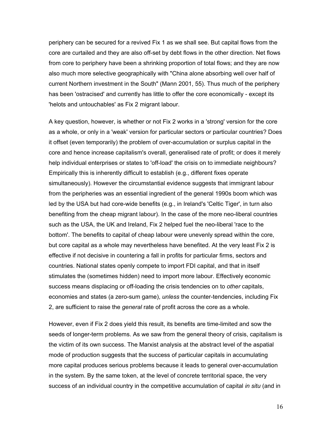periphery can be secured for a revived Fix 1 as we shall see. But capital flows from the core are curtailed and they are also off-set by debt flows in the other direction. Net flows from core to periphery have been a shrinking proportion of total flows; and they are now also much more selective geographically with "China alone absorbing well over half of current Northern investment in the South" (Mann 2001, 55). Thus much of the periphery has been 'ostracised' and currently has little to offer the core economically - except its 'helots and untouchables' as Fix 2 migrant labour.

A key question, however, is whether or not Fix 2 works in a 'strong' version for the core as a whole, or only in a 'weak' version for particular sectors or particular countries? Does it offset (even temporarily) the problem of over-accumulation or surplus capital in the core and hence increase capitalism's overall, generalised rate of profit; or does it merely help individual enterprises or states to 'off-load' the crisis on to immediate neighbours? Empirically this is inherently difficult to establish (e.g., different fixes operate simultaneously). However the circumstantial evidence suggests that immigrant labour from the peripheries was an essential ingredient of the general 1990s boom which was led by the USA but had core-wide benefits (e.g., in Ireland's 'Celtic Tiger', in turn also benefiting from the cheap migrant labour). In the case of the more neo-liberal countries such as the USA, the UK and Ireland, Fix 2 helped fuel the neo-liberal 'race to the bottom'. The benefits to capital of cheap labour were unevenly spread within the core, but core capital as a whole may nevertheless have benefited. At the very least Fix 2 is effective if not decisive in countering a fall in profits for particular firms, sectors and countries. National states openly compete to import FDI capital, and that in itself stimulates the (sometimes hidden) need to import more labour. Effectively economic success means displacing or off-loading the crisis tendencies on to *other* capitals, economies and states (a zero-sum game), *unless* the counter-tendencies, including Fix 2, are sufficient to raise the *general* rate of profit across the core as a whole.

However, even if Fix 2 does yield this result, its benefits are time-limited and sow the seeds of longer-term problems. As we saw from the general theory of crisis, capitalism is the victim of its own success. The Marxist analysis at the abstract level of the aspatial mode of production suggests that the success of particular capitals in accumulating more capital produces serious problems because it leads to general over-accumulation in the system. By the same token, at the level of concrete territorial space, the very success of an individual country in the competitive accumulation of capital *in situ* (and in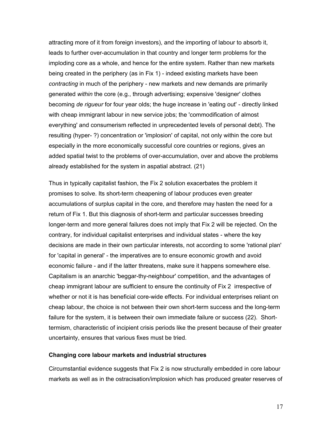attracting more of it from foreign investors), and the importing of labour to absorb it, leads to further over-accumulation in that country and longer term problems for the imploding core as a whole, and hence for the entire system. Rather than new markets being created in the periphery (as in Fix 1) - indeed existing markets have been *contracting* in much of the periphery - new markets and new demands are primarily generated *within* the core (e.g., through advertising; expensive 'designer' clothes becoming *de rigueur* for four year olds; the huge increase in 'eating out' - directly linked with cheap immigrant labour in new service jobs; the 'commodification of almost everything' and consumerism reflected in unprecedented levels of personal debt). The resulting (hyper- ?) concentration or 'implosion' of capital, not only within the core but especially in the more economically successful core countries or regions, gives an added spatial twist to the problems of over-accumulation, over and above the problems already established for the system in aspatial abstract. (21)

Thus in typically capitalist fashion, the Fix 2 solution exacerbates the problem it promises to solve. Its short-term cheapening of labour produces even greater accumulations of surplus capital in the core, and therefore may hasten the need for a return of Fix 1. But this diagnosis of short-term and particular successes breeding longer-term and more general failures does not imply that Fix 2 will be rejected. On the contrary, for individual capitalist enterprises and individual states - where the key decisions are made in their own particular interests, not according to some 'rational plan' for 'capital in general' - the imperatives are to ensure economic growth and avoid economic failure - and if the latter threatens, make sure it happens somewhere else. Capitalism is an anarchic 'beggar-thy-neighbour' competition, and the advantages of cheap immigrant labour are sufficient to ensure the continuity of Fix 2 irrespective of whether or not it is has beneficial core-wide effects. For individual enterprises reliant on cheap labour, the choice is not between their own short-term success and the long-term failure for the system, it is between their own immediate failure or success (22). Shorttermism, characteristic of incipient crisis periods like the present because of their greater uncertainty, ensures that various fixes must be tried.

#### **Changing core labour markets and industrial structures**

Circumstantial evidence suggests that Fix 2 is now structurally embedded in core labour markets as well as in the ostracisation/implosion which has produced greater reserves of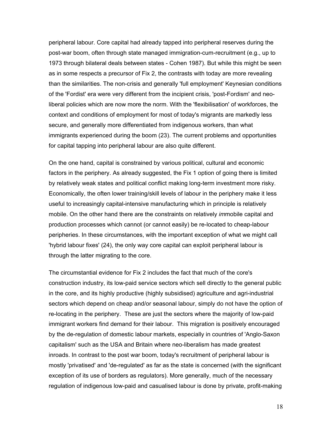peripheral labour. Core capital had already tapped into peripheral reserves during the post-war boom, often through state managed immigration-cum-recruitment (e.g., up to 1973 through bilateral deals between states - Cohen 1987). But while this might be seen as in some respects a precursor of Fix 2, the contrasts with today are more revealing than the similarities. The non-crisis and generally 'full employment' Keynesian conditions of the 'Fordist' era were very different from the incipient crisis, 'post-Fordism' and neoliberal policies which are now more the norm. With the 'flexibilisation' of workforces, the context and conditions of employment for most of today's migrants are markedly less secure, and generally more differentiated from indigenous workers, than what immigrants experienced during the boom (23). The current problems and opportunities for capital tapping into peripheral labour are also quite different.

On the one hand, capital is constrained by various political, cultural and economic factors in the periphery. As already suggested, the Fix 1 option of going there is limited by relatively weak states and political conflict making long-term investment more risky. Economically, the often lower training/skill levels of labour in the periphery make it less useful to increasingly capital-intensive manufacturing which in principle is relatively mobile. On the other hand there are the constraints on relatively *im*mobile capital and production processes which cannot (or cannot easily) be re-located to cheap-labour peripheries. In these circumstances, with the important exception of what we might call 'hybrid labour fixes' (24), the only way core capital can exploit peripheral labour is through the latter migrating to the core.

The circumstantial evidence for Fix 2 includes the fact that much of the core's construction industry, its low-paid service sectors which sell directly to the general public in the core, and its highly productive (highly subsidised) agriculture and agri-industrial sectors which depend on cheap and/or seasonal labour, simply do not have the option of re-locating in the periphery. These are just the sectors where the majority of low-paid immigrant workers find demand for their labour. This migration is positively encouraged by the de-regulation of domestic labour markets, especially in countries of 'Anglo-Saxon capitalism' such as the USA and Britain where neo-liberalism has made greatest inroads. In contrast to the post war boom, today's recruitment of peripheral labour is mostly 'privatised' and 'de-regulated' as far as the state is concerned (with the significant exception of its use of borders as regulators). More generally, much of the necessary regulation of indigenous low-paid and casualised labour is done by private, profit-making

18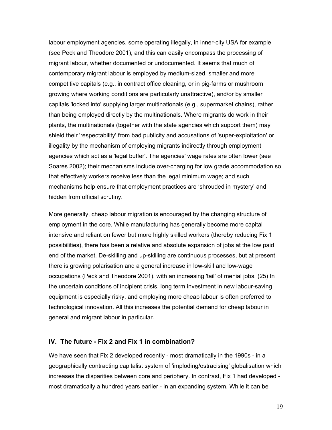labour employment agencies, some operating illegally, in inner-city USA for example (see Peck and Theodore 2001), and this can easily encompass the processing of migrant labour, whether documented or undocumented. It seems that much of contemporary migrant labour is employed by medium-sized, smaller and more competitive capitals (e.g., in contract office cleaning, or in pig-farms or mushroom growing where working conditions are particularly unattractive), and/or by smaller capitals 'locked into' supplying larger multinationals (e.g., supermarket chains), rather than being employed directly by the multinationals. Where migrants do work in their plants, the multinationals (together with the state agencies which support them) may shield their 'respectability' from bad publicity and accusations of 'super-exploitation' or illegality by the mechanism of employing migrants indirectly through employment agencies which act as a 'legal buffer'. The agencies' wage rates are often lower (see Soares 2002); their mechanisms include over-charging for low grade accommodation so that effectively workers receive less than the legal minimum wage; and such mechanisms help ensure that employment practices are 'shrouded in mystery' and hidden from official scrutiny.

More generally, cheap labour migration is encouraged by the changing structure of employment in the core. While manufacturing has generally become more capital intensive and reliant on fewer but more highly skilled workers (thereby reducing Fix 1 possibilities), there has been a relative and absolute expansion of jobs at the low paid end of the market. De-skilling and up-skilling are continuous processes, but at present there is growing polarisation and a general increase in low-skill and low-wage occupations (Peck and Theodore 2001), with an increasing 'tail' of menial jobs. (25) In the uncertain conditions of incipient crisis, long term investment in new labour-saving equipment is especially risky, and employing more cheap labour is often preferred to technological innovation. All this increases the potential demand for cheap labour in general and migrant labour in particular.

### **IV. The future - Fix 2 and Fix 1 in combination?**

We have seen that Fix 2 developed recently - most dramatically in the 1990s - in a geographically contracting capitalist system of 'imploding/ostracising' globalisation which increases the disparities between core and periphery. In contrast, Fix 1 had developed most dramatically a hundred years earlier - in an expanding system. While it can be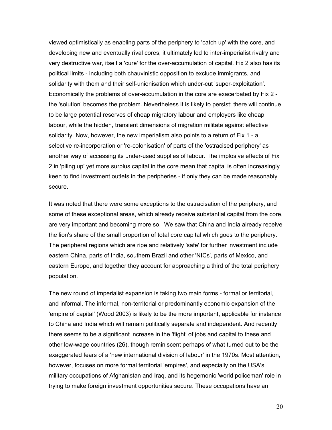viewed optimistically as enabling parts of the periphery to 'catch up' with the core, and developing new and eventually rival cores, it ultimately led to inter-imperialist rivalry and very destructive war, itself a 'cure' for the over-accumulation of capital. Fix 2 also has its political limits - including both chauvinistic opposition to exclude immigrants, and solidarity with them and their self-unionisation which under-cut 'super-exploitation'. Economically the problems of over-accumulation in the core are exacerbated by Fix 2 the 'solution' becomes the problem. Nevertheless it is likely to persist: there will continue to be large potential reserves of cheap migratory labour and employers like cheap labour, while the hidden, transient dimensions of migration militate against effective solidarity. Now, however, the new imperialism also points to a return of Fix 1 - a selective re-incorporation or 're-colonisation' of parts of the 'ostracised periphery' as another way of accessing its under-used supplies of labour. The implosive effects of Fix 2 in 'piling up' yet more surplus capital in the core mean that capital is often increasingly keen to find investment outlets in the peripheries - if only they can be made reasonably secure.

It was noted that there were some exceptions to the ostracisation of the periphery, and some of these exceptional areas, which already receive substantial capital from the core, are very important and becoming more so. We saw that China and India already receive the lion's share of the small proportion of total core capital which goes to the periphery. The peripheral regions which are ripe and relatively 'safe' for further investment include eastern China, parts of India, southern Brazil and other 'NICs', parts of Mexico, and eastern Europe, and together they account for approaching a third of the total periphery population.

The new round of imperialist expansion is taking two main forms - formal or territorial, and informal. The informal, non-territorial or predominantly economic expansion of the 'empire of capital' (Wood 2003) is likely to be the more important, applicable for instance to China and India which will remain politically separate and independent. And recently there seems to be a significant increase in the 'flight' of jobs and capital to these and other low-wage countries (26), though reminiscent perhaps of what turned out to be the exaggerated fears of a 'new international division of labour' in the 1970s. Most attention, however, focuses on more formal territorial 'empires', and especially on the USA's military occupations of Afghanistan and Iraq, and its hegemonic 'world policeman' role in trying to make foreign investment opportunities secure. These occupations have an

20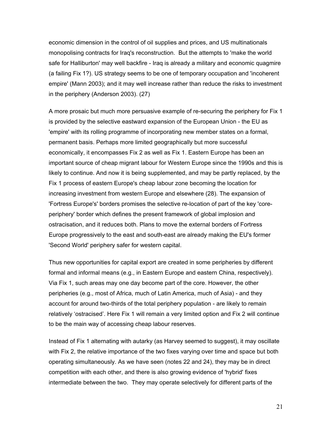economic dimension in the control of oil supplies and prices, and US multinationals monopolising contracts for Iraq's reconstruction. But the attempts to 'make the world safe for Halliburton' may well backfire - Iraq is already a military and economic quagmire (a failing Fix 1?). US strategy seems to be one of temporary occupation and 'incoherent empire' (Mann 2003); and it may well increase rather than reduce the risks to investment in the periphery (Anderson 2003). (27)

A more prosaic but much more persuasive example of re-securing the periphery for Fix 1 is provided by the selective eastward expansion of the European Union - the EU as 'empire' with its rolling programme of incorporating new member states on a formal, permanent basis. Perhaps more limited geographically but more successful economically, it encompasses Fix 2 as well as Fix 1. Eastern Europe has been an important source of cheap migrant labour for Western Europe since the 1990s and this is likely to continue. And now it is being supplemented, and may be partly replaced, by the Fix 1 process of eastern Europe's cheap labour zone becoming the location for increasing investment from western Europe and elsewhere (28). The expansion of 'Fortress Europe's' borders promises the selective re-location of part of the key 'coreperiphery' border which defines the present framework of global implosion and ostracisation, and it reduces both. Plans to move the external borders of Fortress Europe progressively to the east and south-east are already making the EU's former 'Second World' periphery safer for western capital.

Thus new opportunities for capital export are created in some peripheries by different formal and informal means (e.g., in Eastern Europe and eastern China, respectively). Via Fix 1, such areas may one day become part of the core. However, the other peripheries (e.g., most of Africa, much of Latin America, much of Asia) - and they account for around two-thirds of the total periphery population - are likely to remain relatively 'ostracised'. Here Fix 1 will remain a very limited option and Fix 2 will continue to be the main way of accessing cheap labour reserves.

Instead of Fix 1 alternating with autarky (as Harvey seemed to suggest), it may oscillate with Fix 2, the relative importance of the two fixes varying over time and space but both operating simultaneously. As we have seen (notes 22 and 24), they may be in direct competition with each other, and there is also growing evidence of 'hybrid' fixes intermediate between the two. They may operate selectively for different parts of the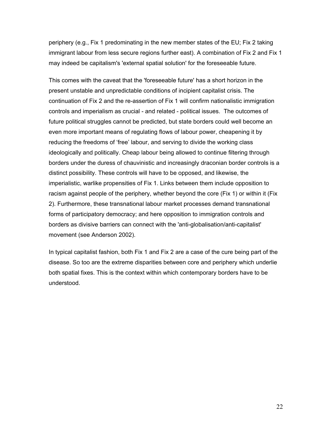periphery (e.g., Fix 1 predominating in the new member states of the EU; Fix 2 taking immigrant labour from less secure regions further east). A combination of Fix 2 and Fix 1 may indeed be capitalism's 'external spatial solution' for the foreseeable future.

This comes with the caveat that the 'foreseeable future' has a short horizon in the present unstable and unpredictable conditions of incipient capitalist crisis. The continuation of Fix 2 and the re-assertion of Fix 1 will confirm nationalistic immigration controls and imperialism as crucial - and related - political issues. The outcomes of future political struggles cannot be predicted, but state borders could well become an even more important means of regulating flows of labour power, cheapening it by reducing the freedoms of 'free' labour, and serving to divide the working class ideologically and politically. Cheap labour being allowed to continue filtering through borders under the duress of chauvinistic and increasingly draconian border controls is a distinct possibility. These controls will have to be opposed, and likewise, the imperialistic, warlike propensities of Fix 1. Links between them include opposition to racism against people of the periphery, whether beyond the core (Fix 1) or within it (Fix 2). Furthermore, these transnational labour market processes demand transnational forms of participatory democracy; and here opposition to immigration controls and borders as divisive barriers can connect with the 'anti-globalisation/anti-capitalist' movement (see Anderson 2002).

In typical capitalist fashion, both Fix 1 and Fix 2 are a case of the cure being part of the disease. So too are the extreme disparities between core and periphery which underlie both spatial fixes. This is the context within which contemporary borders have to be understood.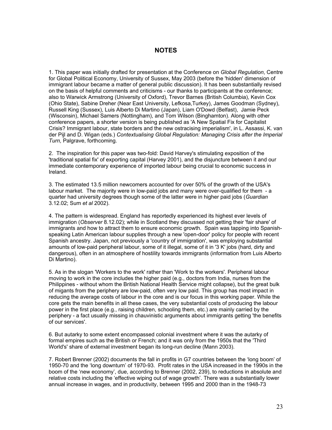### **NOTES**

1. This paper was initially drafted for presentation at the Conference on *Global Regulation*, Centre for Global Political Economy, University of Sussex, May 2003 (before the 'hidden' dimension of immigrant labour became a matter of general public discussion). It has been substantially revised on the basis of helpful comments and criticisms - our thanks to participants at the conference; also to Warwick Armstrong (University of Oxford), Trevor Barnes (British Columbia), Kevin Cox (Ohio State), Sabine Dreher (Near East University, Lefkosa,Turkey), James Goodman (Sydney), Russell King (Sussex), Luis Alberto Di Martino (Japan), Liam O'Dowd (Belfast), Jamie Peck (Wisconsin), Michael Samers (Nottingham), and Tom Wilson (Binghamton). Along with other conference papers, a shorter version is being published as 'A New Spatial Fix for Capitalist Crisis? Immigrant labour, state borders and the new ostracising imperialism', in L. Assassi, K. van der Pijl and D. Wigan (eds.) *Contextualising Global Regulation: Managing Crisis after the Imperial Turn,* Palgrave, forthcoming.

2. The inspiration for this paper was two-fold: David Harvey's stimulating exposition of the 'traditional spatial fix' of exporting capital (Harvey 2001), and the disjuncture between it and our immediate contemporary experience of imported labour being crucial to economic success in Ireland.

3. The estimated 13.5 million newcomers accounted for over 50% of the growth of the USA's labour market. The majority were in low-paid jobs and many were over-qualified for them - a quarter had university degrees though some of the latter were in higher paid jobs (*Guardian*  3.12.02; Sum *et al* 2002).

4. The pattern is widespread. England has reportedly experienced its highest ever levels of immigration (*Observer* 8.12.02); while in Scotland they discussed not getting their 'fair share' of immigrants and how to attract them to ensure economic growth. Spain was tapping into Spanishspeaking Latin American labour supplies through a new 'open-door' policy for people with recent Spanish ancestry. Japan, not previously a 'country of immigration', was employing substantial amounts of low-paid peripheral labour, some of it illegal, some of it in '3 K' jobs (hard, dirty and dangerous), often in an atmosphere of hostility towards immigrants (information from Luis Alberto Di Martino).

5. As in the slogan 'Workers to the work' rather than 'Work to the workers'. Peripheral labour moving to work in the core includes the higher paid (e.g., doctors from India, nurses from the Philippines - without whom the British National Health Service might collapse), but the great bulk of migants from the periphery are low-paid, often very low paid. This group has most impact in reducing the average costs of labour in the core and is our focus in this working paper. While the core gets the main benefits in all these cases, the very substantial costs of producing the labour power in the first place (e.g., raising children, schooling them, etc.) are mainly carried by the periphery - a fact usually missing in chauvinistic arguments about immigrants getting 'the benefits of our services'.

6. But autarky to some extent encompassed colonial investment where it was the autarky of formal empires such as the British or French; and it was only from the 1950s that the 'Third World's' share of external investment began its long-run decline (Mann 2003).

7. Robert Brenner (2002) documents the fall in profits in G7 countries between the 'long boom' of 1950-70 and the 'long downturn' of 1970-93. Profit rates in the USA increased in the 1990s in the boom of the 'new economy', due, according to Brenner (2002, 239), to reductions in absolute and relative costs including the 'effective wiping out of wage growth'. There was a substantially lower annual increase in wages, and in productivity, between 1995 and 2000 than in the 1948-73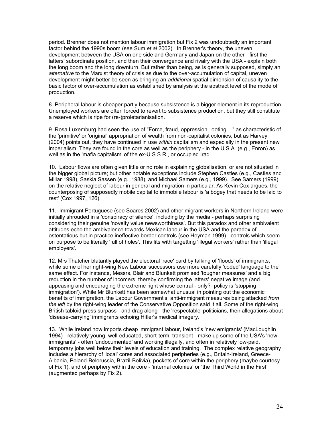period. Brenner does not mention labour immigration but Fix 2 was undoubtedly an important factor behind the 1990s boom (see Sum *et al* 2002). In Brenner's theory, the uneven development between the USA on one side and Germany and Japan on the other - first the latters' subordinate position, and then their convergence and rivalry with the USA - explain both the long boom and the long downturn. But rather than being, as is generally supposed, simply an *alternative* to the Marxist theory of crisis as due to the over-accumulation of capital, uneven development might better be seen as bringing an *additional* spatial dimension of causality to the basic factor of over-accumulation as established by analysis at the abstract level of the mode of production.

8. Peripheral labour is cheaper partly because subsistence is a bigger element in its reproduction. Unemployed workers are often forced to revert to subsistence production, but they still constitute a reserve which is ripe for (re-)proletarianisation.

9. Rosa Luxemburg had seen the use of "Force, fraud, oppression, looting...." as characteristic of the 'primitive' or 'original' appropriation of wealth from non-capitalist colonies, but as Harvey (2004) points out, they have continued in use *within* capitalism and especially in the present new imperialism. They are found in the core as well as the periphery - in the U.S.A. (e.g., Enron) as well as in the 'mafia capitalism' of the ex-U.S.S.R., or occupied Iraq.

10. Labour flows are often given little or no role in explaining globalisation, or are not situated in the bigger global picture; but other notable exceptions include Stephen Castles (e.g., Castles and Millar 1998), Saskia Sassen (e.g., 1988), and Michael Samers (e.g., 1999). See Samers (1999) on the relative neglect of labour in general and migration in particular. As Kevin Cox argues, the counterposing of supposedly mobile capital to immobile labour is 'a bogey that needs to be laid to rest' (Cox 1997, 126).

11. Immigrant Portuguese (see Soares 2002) and other migrant workers in Northern Ireland were initially shrouded in a 'conspiracy of silence', including by the media - perhaps surprising considering their genuine 'novelty value newsworthiness'. But this paradox and other ambivalent attitudes echo the ambivalence towards Mexican labour in the USA and the paradox of ostentatious but in practice ineffective border controls (see Heyman 1999) - controls which seem on purpose to be literally 'full of holes'. This fits with targetting 'illegal workers' rather than 'illegal employers'.

12. Mrs Thatcher blatantly played the electoral 'race' card by talking of 'floods' of immigrants, while some of her right-wing New Labour successors use more carefully 'coded' language to the same effect. For instance, Messrs. Blair and Blunkett promised 'tougher measures' and a big reduction in the number of incomers, thereby confirming the latters' negative image (and appeasing and encouraging the extreme right whose central - only?- policy is 'stopping immigration'). While Mr Blunkett has been somewhat unusual in pointing out the economic benefits of immigration, the Labour Government's anti-immigrant measures being attacked *from the left* by the right-wing leader of the Conservative Opposition said it all. Some of the right-wing British tabloid press surpass - and drag along - the 'respectable' politicians, their allegations about 'disease-carrying' immigrants echoing Hitler's medical imagery.

13. While Ireland now imports cheap immigrant labour, Ireland's 'new emigrants' (MacLoughlin 1994) - relatively young, well-educated, short-term, transient - make up some of the USA's 'new immigrants' - often 'undocumented' and working illegally, and often in relatively low-paid, temporary jobs well below their levels of education and training. The complex relative geography includes a hierarchy of 'local' cores and associated peripheries (e.g., Britain-Ireland, Greece-Albania, Poland-Belorussia, Brazil-Bolivia), pockets of core within the periphery (maybe courtesy of Fix 1), and of periphery within the core - 'internal colonies' or 'the Third World in the First' (augmented perhaps by Fix 2).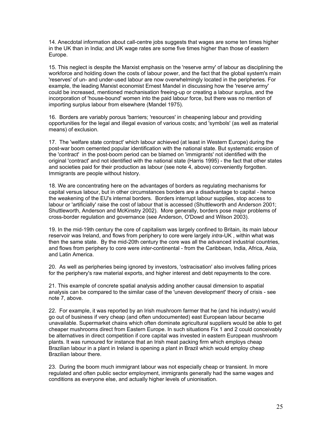14. Anecdotal information about call-centre jobs suggests that wages are some ten times higher in the UK than in India; and UK wage rates are some five times higher than those of eastern Europe.

15. This neglect is despite the Marxist emphasis on the 'reserve army' of labour as disciplining the workforce and holding down the costs of labour power, and the fact that the global system's main 'reserves' of un- and under-used labour are now overwhelmingly located in the peripheries. For example, the leading Marxist economist Ernest Mandel in discussing how the 'reserve army' could be increased, mentioned mechanisation freeing-up or creating a labour surplus, and the incorporation of 'house-bound' women into the paid labour force, but there was no mention of importing surplus labour from elsewhere (Mandel 1975).

16. Borders are variably porous 'barriers; 'resources' in cheapening labour and providing opportunities for the legal and illegal evasion of various costs; and 'symbols' (as well as material means) of exclusion.

17. The 'welfare state contract' which labour achieved (at least in Western Europe) during the post-war boom cemented popular identification with the national state. But systematic erosion of the 'contract' in the post-boom period can be blamed on 'immigrants' not identified with the original 'contract' and not identified with the national state (Harris 1995) - the fact that other states and societies paid for their production as labour (see note 4, above) conveniently forgotten. Immigrants are people without history.

18. We are concentrating here on the advantages of borders as regulating mechanisms for capital versus labour, but in other circumstances borders are a disadvantage to capital - hence the weakening of the EU's internal borders. Borders interrupt labour supplies, stop access to labour or 'artificially' raise the cost of labour that is accessed (Shuttleworth and Anderson 2001; Shuttleworth, Anderson and McKinstry 2002). More generally, borders pose major problems of cross-border regulation and governance (see Anderson, O'Dowd and Wilson 2003).

19. In the mid-19th century the core of capitalism was largely confined to Britain, its main labour reservoir was Ireland, and flows from periphery to core were largely *intra*-UK , within what was then the same state. By the mid-20th century the core was all the advanced industrial countries, and flows from periphery to core were *inter*-continental - from the Caribbean, India, Africa, Asia, and Latin America.

20. As well as peripheries being ignored by investors, 'ostracisation' also involves falling prices for the periphery's raw material exports, and higher interest and debt repayments to the core.

21. This example of concrete spatial analysis adding another causal dimension to aspatial analysis can be compared to the similar case of the 'uneven development' theory of crisis - see note 7, above.

22. For example, it was reported by an Irish mushroom farmer that he (and his industry) would go out of business if very cheap (and often undocumented) east European labour became unavailable. Supermarket chains which often dominate agricultural suppliers would be able to get cheaper mushrooms direct from Eastern Europe. In such situations Fix 1 and 2 could conceivably be alternatives in direct competition if core capital was invested in eastern European mushroom plants. It was rumoured for instance that an Irish meat packing firm which employs cheap Brazilian labour in a plant in Ireland is opening a plant in Brazil which would employ cheap Brazilian labour there.

23. During the boom much immigrant labour was not especially cheap or transient. In more regulated and often public sector employment, immigrants generally had the same wages and conditions as everyone else, and actually higher levels of unionisation.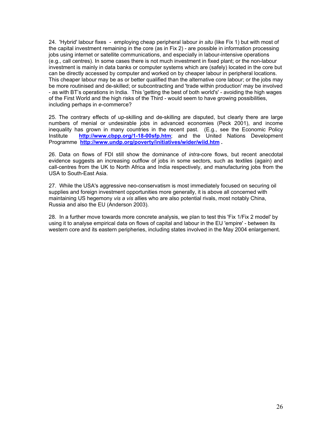24. 'Hybrid' labour fixes - employing cheap peripheral labour *in situ* (like Fix 1) but with most of the capital investment remaining in the core (as in Fix 2) - are possible in information processing jobs using internet or satellite communications, and especially in labour-intensive operations (e.g., call centres). In some cases there is not much investment in fixed plant; or the non-labour investment is mainly in data banks or computer systems which are (safely) located in the core but can be directly accessed by computer and worked on by cheaper labour in peripheral locations. This cheaper labour may be as or better qualified than the alternative core labour; or the jobs may be more routinised and de-skilled; or subcontracting and 'trade within production' may be involved - as with BT's operations in India. This 'getting the best of both world's' - avoiding the high wages of the First World and the high risks of the Third - would seem to have growing possibilities, including perhaps in *e*-commerce?

25. The contrary effects of up-skilling and de-skilling are disputed, but clearly there are large numbers of menial or undesirable jobs in advanced economies (Peck 2001), and income inequality has grown in many countries in the recent past. (E.g., see the Economic Policy Institute **<http://www.cbpp.org/1-18-00sfp.htm>**; and the United Nations Development Programme **<http://www.undp.org/poverty/initiatives/wider/wiid.htm> .**

26. Data on flows of FDI still show the dominance of *intra*-core flows, but recent anecdotal evidence suggests an increasing outflow of jobs in some sectors, such as textiles (again) and call-centres from the UK to North Africa and India respectively, and manufacturing jobs from the USA to South-East Asia.

27. While the USA's aggressive neo-conservatism is most immediately focused on securing oil supplies and foreign investment opportunities more generally, it is above all concerned with maintaining US hegemony *vis a vis* allies who are also potential rivals, most notably China, Russia and also the EU (Anderson 2003).

28. In a further move towards more concrete analysis, we plan to test this 'Fix 1/Fix 2 model' by using it to analyse empirical data on flows of capital and labour in the EU 'empire' - between its western core and its eastern peripheries, including states involved in the May 2004 enlargement.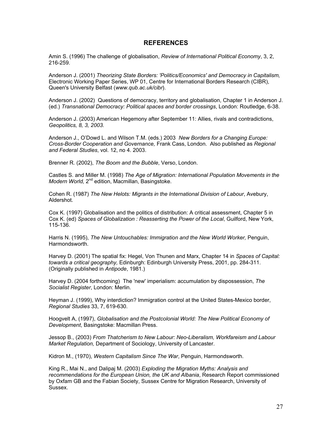#### **REFERENCES**

Amin S. (1996) The challenge of globalisation, *Review of International Political Economy*, 3, 2, 216-259.

Anderson J. (2001) *Theorizing State Borders: 'Politics/Economics' and Democracy in Capitalism,* Electronic Working Paper Series, WP 01, Centre for International Borders Research (CIBR), Queen's University Belfast (*www.qub.ac.uk/cibr*).

Anderson J. (2002) Questions of democracy, territory and globalisation, Chapter 1 in Anderson J. (ed.) *Transnational Democracy: Political spaces and border crossings*, London: Routledge, 6-38.

Anderson J. (2003) American Hegemony after September 11: Allies, rivals and contradictions, *Geopolitics, 8, 3, 2003.*

Anderson J., O'Dowd L. and Wilson T.M. (eds.) 2003 *New Borders for a Changing Europe: Cross-Border Cooperation and Governance,* Frank Cass, London. Also published as *Regional and Federal Studies*, vol. 12, no 4. 2003.

Brenner R. (2002), *The Boom and the Bubble*, Verso, London.

Castles S. and Miller M. (1998) *The Age of Migration: International Population Movements in the Modern World,* 2<sup>nd</sup> edition, Macmillan, Basingstoke.

Cohen R. (1987) *The New Helots: Migrants in the International Division of Labour*, Avebury, Aldershot.

Cox K. (1997) Globalisation and the politics of distribution: A critical assessment, Chapter 5 in Cox K. (ed) *Spaces of Globalization : Reasserting the Power of the Local*, Guilford, New York, 115-136.

Harris N. (1995), *The New Untouchables: Immigration and the New World Worker*, Penguin, Harmondsworth.

Harvey D. (2001) The spatial fix: Hegel, Von Thunen and Marx, Chapter 14 in *Spaces of Capital: towards a critical geography,* Edinburgh: Edinburgh University Press, 2001, pp. 284-311. (Originally published in *Antipode*, 1981.)

Harvey D. (2004 forthcoming) The 'new' imperialism: accumulation by dispossession, *The Socialist Register*, London: Merlin.

Heyman J. (1999), Why interdiction? Immigration control at the United States-Mexico border, *Regional Studies* 33, 7, 619-630.

Hoogvelt A, (1997), *Globalisation and the Postcolonial World: The New Political Economy of Development*, Basingstoke: Macmillan Press.

Jessop B., (2003) *From Thatcherism to New Labour: Neo-Liberalism, Workfareism and Labour Market Regulation,* Department of Sociology, University of Lancaster.

Kidron M., (1970), *Western Capitalism Since The War*, Penguin, Harmondsworth.

King R., Mai N., and Dalipaj M. (2003) *Exploding the Migration Myths: Analysis and recommendations for the European Union, the UK and Albania*, Research Report commissioned by Oxfam GB and the Fabian Society, Sussex Centre for Migration Research, University of Sussex.